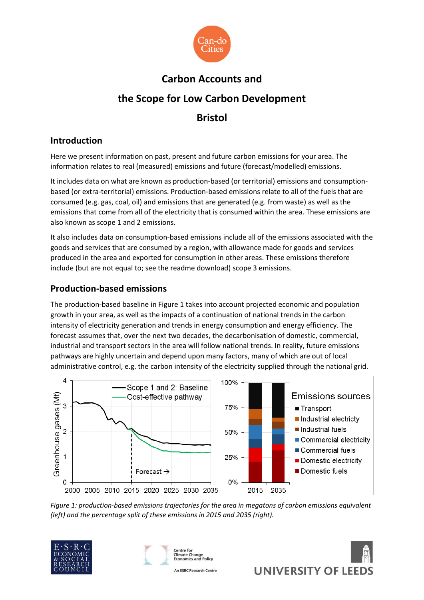

# **Carbon Accounts and the Scope for Low Carbon Development Bristol**

## **Introduction**

Here we present information on past, present and future carbon emissions for your area. The information relates to real (measured) emissions and future (forecast/modelled) emissions.

It includes data on what are known as production-based (or territorial) emissions and consumptionbased (or extra-territorial) emissions. Production-based emissions relate to all of the fuels that are consumed (e.g. gas, coal, oil) and emissions that are generated (e.g. from waste) as well as the emissions that come from all of the electricity that is consumed within the area. These emissions are also known as scope 1 and 2 emissions.

It also includes data on consumption-based emissions include all of the emissions associated with the goods and services that are consumed by a region, with allowance made for goods and services produced in the area and exported for consumption in other areas. These emissions therefore include (but are not equal to; see the readme download) scope 3 emissions.

## **Production-based emissions**

The production-based baseline in Figure 1 takes into account projected economic and population growth in your area, as well as the impacts of a continuation of national trends in the carbon intensity of electricity generation and trends in energy consumption and energy efficiency. The forecast assumes that, over the next two decades, the decarbonisation of domestic, commercial, industrial and transport sectors in the area will follow national trends. In reality, future emissions pathways are highly uncertain and depend upon many factors, many of which are out of local administrative control, e.g. the carbon intensity of the electricity supplied through the national grid.



*Figure 1: production-based emissions trajectories for the area in megatons of carbon emissions equivalent (left) and the percentage split of these emissions in 2015 and 2035 (right).*









An ESRC Research Centre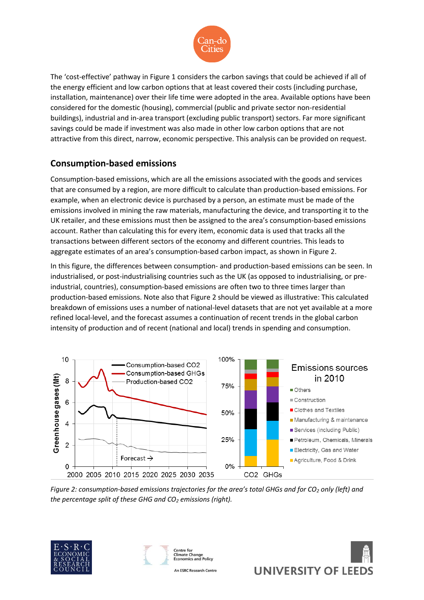

The 'cost-effective' pathway in Figure 1 considers the carbon savings that could be achieved if all of the energy efficient and low carbon options that at least covered their costs (including purchase, installation, maintenance) over their life time were adopted in the area. Available options have been considered for the domestic (housing), commercial (public and private sector non-residential buildings), industrial and in-area transport (excluding public transport) sectors. Far more significant savings could be made if investment was also made in other low carbon options that are not attractive from this direct, narrow, economic perspective. This analysis can be provided on request.

# **Consumption-based emissions**

Consumption-based emissions, which are all the emissions associated with the goods and services that are consumed by a region, are more difficult to calculate than production-based emissions. For example, when an electronic device is purchased by a person, an estimate must be made of the emissions involved in mining the raw materials, manufacturing the device, and transporting it to the UK retailer, and these emissions must then be assigned to the area's consumption-based emissions account. Rather than calculating this for every item, economic data is used that tracks all the transactions between different sectors of the economy and different countries. This leads to aggregate estimates of an area's consumption-based carbon impact, as shown in Figure 2.

In this figure, the differences between consumption- and production-based emissions can be seen. In industrialised, or post-industrialising countries such as the UK (as opposed to industrialising, or preindustrial, countries), consumption-based emissions are often two to three times larger than production-based emissions. Note also that Figure 2 should be viewed as illustrative: This calculated breakdown of emissions uses a number of national-level datasets that are not yet available at a more refined local-level, and the forecast assumes a continuation of recent trends in the global carbon intensity of production and of recent (national and local) trends in spending and consumption.



*Figure 2: consumption-based emissions trajectories for the area's total GHGs and for CO<sup>2</sup> only (left) and the percentage split of these GHG and CO<sup>2</sup> emissions (right).*







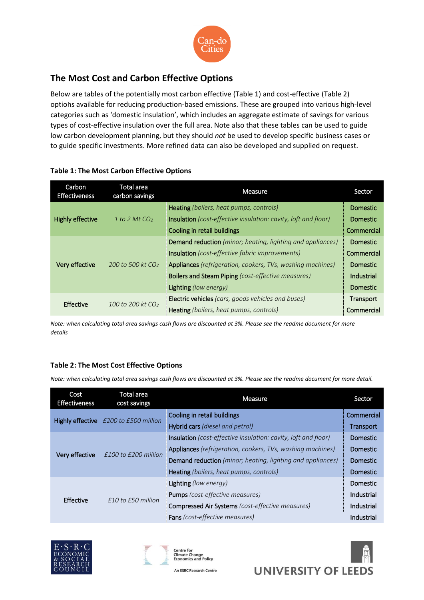

# **The Most Cost and Carbon Effective Options**

Below are tables of the potentially most carbon effective (Table 1) and cost-effective (Table 2) options available for reducing production-based emissions. These are grouped into various high-level categories such as 'domestic insulation', which includes an aggregate estimate of savings for various types of cost-effective insulation over the full area. Note also that these tables can be used to guide low carbon development planning, but they should *not* be used to develop specific business cases or to guide specific investments. More refined data can also be developed and supplied on request.

| Carbon<br><b>Effectiveness</b> | Total area<br>carbon savings | Measure                                                           | Sector          |
|--------------------------------|------------------------------|-------------------------------------------------------------------|-----------------|
| <b>Highly effective</b>        | 1 to 2 Mt $CO2$              | Heating (boilers, heat pumps, controls)                           | <b>Domestic</b> |
|                                |                              | Insulation (cost-effective insulation: cavity, loft and floor)    | <b>Domestic</b> |
|                                |                              | Cooling in retail buildings                                       | Commercial      |
| Very effective                 | 200 to 500 kt $CO2$          | <b>Demand reduction</b> (minor; heating, lighting and appliances) | <b>Domestic</b> |
|                                |                              | <b>Insulation</b> (cost-effective fabric improvements)            | Commercial      |
|                                |                              | <b>Appliances</b> (refrigeration, cookers, TVs, washing machines) | Domestic        |
|                                |                              | Boilers and Steam Piping (cost-effective measures)                | Industrial      |
|                                |                              | Lighting (low energy)                                             | <b>Domestic</b> |
| <b>Effective</b>               | 100 to 200 kt $CO2$          | Electric vehicles (cars, goods vehicles and buses)                | Transport       |
|                                |                              | <b>Heating</b> (boilers, heat pumps, controls)                    | Commercial      |

#### **Table 1: The Most Carbon Effective Options**

*Note: when calculating total area savings cash flows are discounted at 3%. Please see the readme document for more details* 

### **Table 2: The Most Cost Effective Options**

*Note: when calculating total area savings cash flows are discounted at 3%. Please see the readme document for more detail.*

| Cost<br><b>Effectiveness</b> | <b>Total area</b><br>cost savings | Measure                                                               | Sector          |
|------------------------------|-----------------------------------|-----------------------------------------------------------------------|-----------------|
| Highly effective             | E200 to £500 million              | Cooling in retail buildings                                           | Commercial      |
|                              |                                   | Hybrid cars (diesel and petrol)                                       | Transport       |
| Very effective               | $£100$ to $£200$ million          | <b>Insulation</b> (cost-effective insulation: cavity, loft and floor) | Domestic        |
|                              |                                   | <b>Appliances</b> (refrigeration, cookers, TVs, washing machines)     | Domestic        |
|                              |                                   | <b>Demand reduction</b> (minor; heating, lighting and appliances)     | Domestic        |
|                              |                                   | Heating (boilers, heat pumps, controls)                               | <b>Domestic</b> |
| <b>Effective</b>             | $f10$ to $f50$ million            | Lighting (low energy)                                                 | Domestic        |
|                              |                                   | <b>Pumps</b> (cost-effective measures)                                | Industrial      |
|                              |                                   | <b>Compressed Air Systems</b> (cost-effective measures)               | Industrial      |
|                              |                                   | <b>Fans</b> (cost-effective measures)                                 | Industrial      |